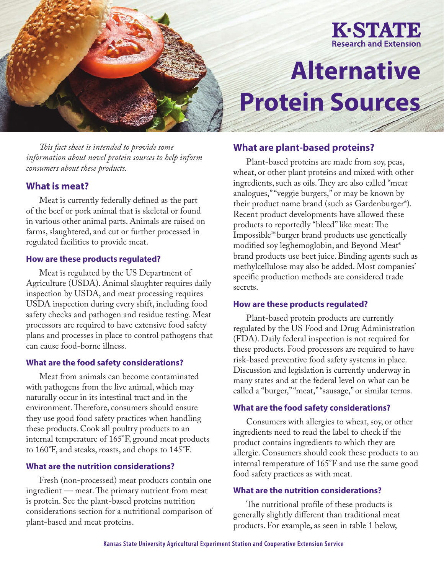

# **Alternative Protein Sources**

*This fact sheet is intended to provide some information about novel protein sources to help inform consumers about these products.*

# **What is meat?**

Meat is currently federally defined as the part of the beef or pork animal that is skeletal or found in various other animal parts. Animals are raised on farms, slaughtered, and cut or further processed in regulated facilities to provide meat.

#### **How are these products regulated?**

Meat is regulated by the US Department of Agriculture (USDA). Animal slaughter requires daily inspection by USDA, and meat processing requires USDA inspection during every shift, including food safety checks and pathogen and residue testing. Meat processors are required to have extensive food safety plans and processes in place to control pathogens that can cause food-borne illness.

#### **What are the food safety considerations?**

Meat from animals can become contaminated with pathogens from the live animal, which may naturally occur in its intestinal tract and in the environment. Therefore, consumers should ensure they use good food safety practices when handling these products. Cook all poultry products to an internal temperature of 165°F, ground meat products to 160°F, and steaks, roasts, and chops to 145°F.

### **What are the nutrition considerations?**

Fresh (non-processed) meat products contain one ingredient — meat. The primary nutrient from meat is protein. See the plant-based proteins nutrition considerations section for a nutritional comparison of plant-based and meat proteins.

# **What are plant-based proteins?**

Plant-based proteins are made from soy, peas, wheat, or other plant proteins and mixed with other ingredients, such as oils. They are also called "meat analogues," "veggie burgers," or may be known by their product name brand (such as Gardenburger**®**). Recent product developments have allowed these products to reportedly "bleed" like meat: The Impossible**™** burger brand products use genetically modified soy leghemoglobin, and Beyond Meat**®** brand products use beet juice. Binding agents such as methylcellulose may also be added. Most companies' specific production methods are considered trade secrets.

#### **How are these products regulated?**

Plant-based protein products are currently regulated by the US Food and Drug Administration (FDA). Daily federal inspection is not required for these products. Food processors are required to have risk-based preventive food safety systems in place. Discussion and legislation is currently underway in many states and at the federal level on what can be called a "burger," "meat," "sausage," or similar terms.

#### **What are the food safety considerations?**

Consumers with allergies to wheat, soy, or other ingredients need to read the label to check if the product contains ingredients to which they are allergic. Consumers should cook these products to an internal temperature of 165°F and use the same good food safety practices as with meat.

## **What are the nutrition considerations?**

The nutritional profile of these products is generally slightly different than traditional meat products. For example, as seen in table 1 below,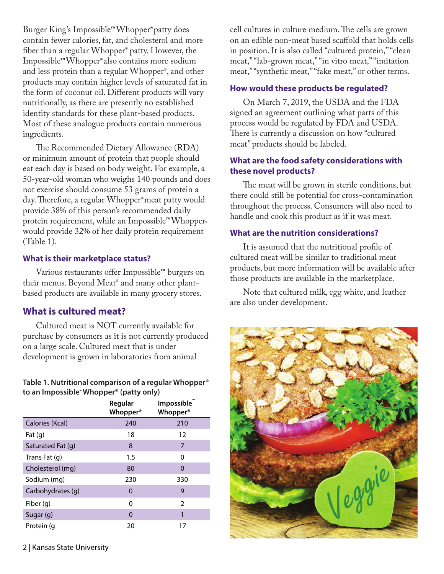Burger King's Impossible**™**Whopper**®**patty does contain fewer calories, fat, and cholesterol and more fiber than a regular Whopper**®** patty. However, the Impossible**™**Whopper**®**also contains more sodium and less protein than a regular Whopper®, and other products may contain higher levels of saturated fat in the form of coconut oil. Different products will vary nutritionally, as there are presently no established identity standards for these plant-based products. Most of these analogue products contain numerous ingredients.

The Recommended Dietary Allowance (RDA) or minimum amount of protein that people should eat each day is based on body weight. For example, a 50-year-old woman who weighs 140 pounds and does not exercise should consume 53 grams of protein a day. Therefore, a regular Whopper**®**meat patty would provide 38% of this person's recommended daily protein requirement, while an Impossible™Whopper<sup>®</sup> would provide 32% of her daily protein requirement (Table 1).

## **What is their marketplace status?**

Various restaurants offer Impossible**™** burgers on their menus. Beyond Meat**®** and many other plantbased products are available in many grocery stores.

# **What is cultured meat?**

Cultured meat is NOT currently available for purchase by consumers as it is not currently produced on a large scale. Cultured meat that is under development is grown in laboratories from animal

## **Table 1. Nutritional comparison of a regular Whopper® to an Impossible™ Whopper® (patty only)**

|                   | Regular<br><b>Whopper</b> <sup>®</sup> | Impossible<br><b>Whopper</b> <sup>®</sup> |
|-------------------|----------------------------------------|-------------------------------------------|
| Calories (Kcal)   | 240                                    | 210                                       |
| Fat $(q)$         | 18                                     | 12                                        |
| Saturated Fat (g) | 8                                      | 7                                         |
| Trans Fat $(q)$   | 1.5                                    | 0                                         |
| Cholesterol (mg)  | 80                                     | 0                                         |
| Sodium (mg)       | 230                                    | 330                                       |
| Carbohydrates (q) | 0                                      | 9                                         |
| Fiber (g)         | 0                                      | $\overline{2}$                            |
| Sugar (g)         | 0                                      | 1                                         |
| Protein (q        | 20                                     | 17                                        |

cell cultures in culture medium. The cells are grown on an edible non-meat based scaffold that holds cells in position. It is also called "cultured protein," "clean meat," "lab-grown meat," "in vitro meat," "imitation meat," "synthetic meat," "fake meat," or other terms.

# **How would these products be regulated?**

On March 7, 2019, the USDA and the FDA signed an agreement outlining what parts of this process would be regulated by FDA and USDA. There is currently a discussion on how "cultured meat" products should be labeled.

# **What are the food safety considerations with these novel products?**

The meat will be grown in sterile conditions, but there could still be potential for cross-contamination throughout the process. Consumers will also need to handle and cook this product as if it was meat.

# **What are the nutrition considerations?**

It is assumed that the nutritional profile of cultured meat will be similar to traditional meat products, but more information will be available after those products are available in the marketplace.

Note that cultured milk, egg white, and leather are also under development.

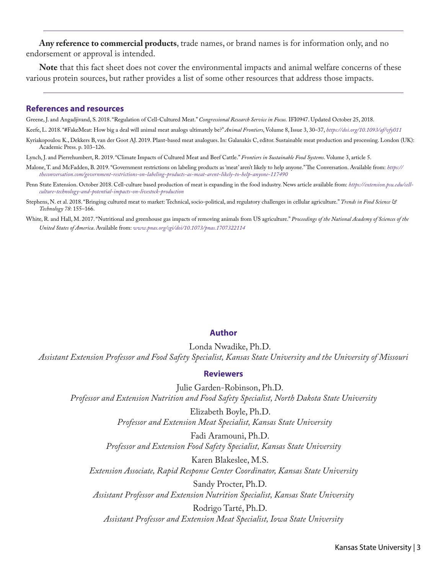**Any reference to commercial products**, trade names, or brand names is for information only, and no endorsement or approval is intended.

**Note** that this fact sheet does not cover the environmental impacts and animal welfare concerns of these various protein sources, but rather provides a list of some other resources that address those impacts.

#### **References and resources**

Greene, J. and Angadjivand, S. 2018. "Regulation of Cell-Cultured Meat." *Congressional Research Service in Focus.* IFI0947. Updated October 25, 2018.

Keefe, L. 2018. "#FakeMeat: How big a deal will animal meat analogs ultimately be?" *Animal Frontiers*, Volume 8, Issue 3, 30–37, *<https://doi.org/10.1093/af/vfy011>*

Kyriakopoulou K., Dekkers B, van der Goot AJ. 2019. Plant-based meat analogues. In: Galanakis C, editor. Sustainable meat production and processing. London (UK): Academic Press. p. 103–126.

Lynch, J. and Pierrehumbert, R. 2019. "Climate Impacts of Cultured Meat and Beef Cattle." *Frontiers in Sustainable Food Systems*. Volume 3, article 5.

- Malone, T. and McFadden, B. 2019. "Government restrictions on labeling products as 'meat' aren't likely to help anyone." The Conversation. Available from: *[https://](https://theconversation.com/government-restrictions-on-labeling-products-as-meat-arent-likely-to-help-anyone-117490) [theconversation.com/government-restrictions-on-labeling-products-as-meat-arent-likely-to-help-anyone-117490](https://theconversation.com/government-restrictions-on-labeling-products-as-meat-arent-likely-to-help-anyone-117490)*
- Penn State Extension. October 2018. Cell-culture based production of meat is expanding in the food industry. News article available from: *[https://extension.psu.edu/cell](https://extension.psu.edu/cell-culture-technology-and-potential-impacts-on-livestock-production)[culture-technology-and-potential-impacts-on-livestock-production](https://extension.psu.edu/cell-culture-technology-and-potential-impacts-on-livestock-production)*
- Stephens, N. et al. 2018. "Bringing cultured meat to market: Technical, socio-political, and regulatory challenges in cellular agriculture." *Trends in Food Science & Technology 78*: 155–166.
- White, R. and Hall, M. 2017. "Nutritional and greenhouse gas impacts of removing animals from US agriculture." *Proceedings of the National Academy of Sciences of the United States of America*. Available from: *[www.pnas.org/cgi/doi/10.1073/pnas.1707322114](http://www.pnas.org/cgi/doi/10.1073/pnas.1707322114)*

#### **Author**

Londa Nwadike, Ph.D. *Assistant Extension Professor and Food Safety Specialist, Kansas State University and the University of Missouri*

#### **Reviewers**

Julie Garden-Robinson, Ph.D. *Professor and Extension Nutrition and Food Safety Specialist, North Dakota State University*

> Elizabeth Boyle, Ph.D.  *Professor and Extension Meat Specialist, Kansas State University*

Fadi Aramouni, Ph.D. *Professor and Extension Food Safety Specialist, Kansas State University* 

Karen Blakeslee, M.S. *Extension Associate, Rapid Response Center Coordinator, Kansas State University*

Sandy Procter, Ph.D. *Assistant Professor and Extension Nutrition Specialist, Kansas State University*

Rodrigo Tarté, Ph.D. *Assistant Professor and Extension Meat Specialist, Iowa State University*